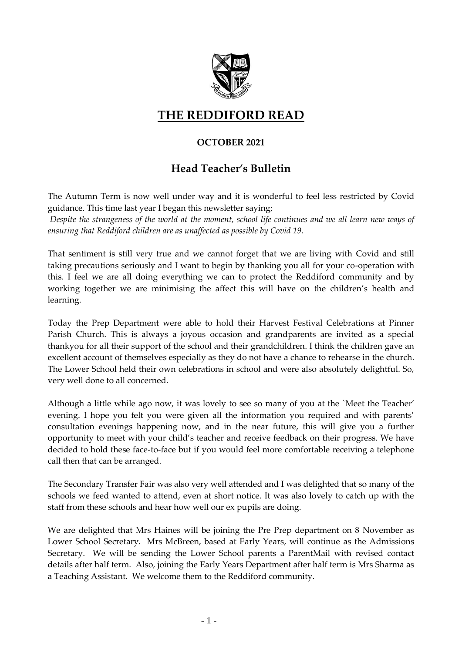

# **THE REDDIFORD READ**

# **OCTOBER 2021**

# **Head Teacher's Bulletin**

The Autumn Term is now well under way and it is wonderful to feel less restricted by Covid guidance. This time last year I began this newsletter saying;

*Despite the strangeness of the world at the moment, school life continues and we all learn new ways of ensuring that Reddiford children are as unaffected as possible by Covid 19.*

That sentiment is still very true and we cannot forget that we are living with Covid and still taking precautions seriously and I want to begin by thanking you all for your co-operation with this. I feel we are all doing everything we can to protect the Reddiford community and by working together we are minimising the affect this will have on the children's health and learning.

Today the Prep Department were able to hold their Harvest Festival Celebrations at Pinner Parish Church. This is always a joyous occasion and grandparents are invited as a special thankyou for all their support of the school and their grandchildren. I think the children gave an excellent account of themselves especially as they do not have a chance to rehearse in the church. The Lower School held their own celebrations in school and were also absolutely delightful. So, very well done to all concerned.

Although a little while ago now, it was lovely to see so many of you at the `Meet the Teacher' evening. I hope you felt you were given all the information you required and with parents' consultation evenings happening now, and in the near future, this will give you a further opportunity to meet with your child's teacher and receive feedback on their progress. We have decided to hold these face-to-face but if you would feel more comfortable receiving a telephone call then that can be arranged.

The Secondary Transfer Fair was also very well attended and I was delighted that so many of the schools we feed wanted to attend, even at short notice. It was also lovely to catch up with the staff from these schools and hear how well our ex pupils are doing.

We are delighted that Mrs Haines will be joining the Pre Prep department on 8 November as Lower School Secretary. Mrs McBreen, based at Early Years, will continue as the Admissions Secretary. We will be sending the Lower School parents a ParentMail with revised contact details after half term. Also, joining the Early Years Department after half term is Mrs Sharma as a Teaching Assistant. We welcome them to the Reddiford community.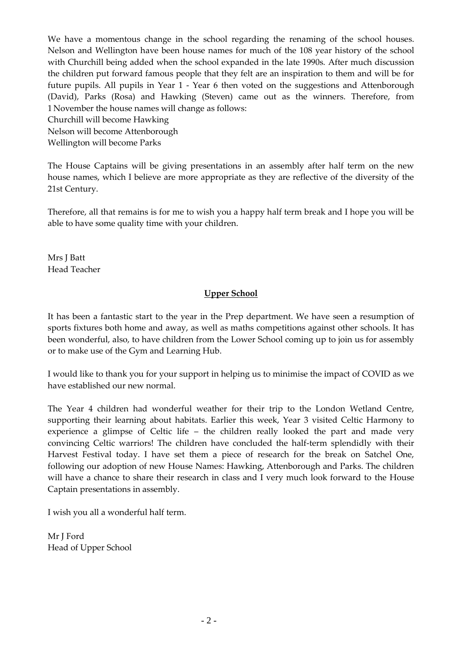We have a momentous change in the school regarding the renaming of the school houses. Nelson and Wellington have been house names for much of the 108 year history of the school with Churchill being added when the school expanded in the late 1990s. After much discussion the children put forward famous people that they felt are an inspiration to them and will be for future pupils. All pupils in Year 1 - Year 6 then voted on the suggestions and Attenborough (David), Parks (Rosa) and Hawking (Steven) came out as the winners. Therefore, from 1 November the house names will change as follows:

Churchill will become Hawking

Nelson will become Attenborough Wellington will become Parks

The House Captains will be giving presentations in an assembly after half term on the new house names, which I believe are more appropriate as they are reflective of the diversity of the 21st Century.

Therefore, all that remains is for me to wish you a happy half term break and I hope you will be able to have some quality time with your children.

Mrs J Batt Head Teacher

### **Upper School**

It has been a fantastic start to the year in the Prep department. We have seen a resumption of sports fixtures both home and away, as well as maths competitions against other schools. It has been wonderful, also, to have children from the Lower School coming up to join us for assembly or to make use of the Gym and Learning Hub.

I would like to thank you for your support in helping us to minimise the impact of COVID as we have established our new normal.

The Year 4 children had wonderful weather for their trip to the London Wetland Centre, supporting their learning about habitats. Earlier this week, Year 3 visited Celtic Harmony to experience a glimpse of Celtic life – the children really looked the part and made very convincing Celtic warriors! The children have concluded the half-term splendidly with their Harvest Festival today. I have set them a piece of research for the break on Satchel One, following our adoption of new House Names: Hawking, Attenborough and Parks. The children will have a chance to share their research in class and I very much look forward to the House Captain presentations in assembly.

I wish you all a wonderful half term.

Mr J Ford Head of Upper School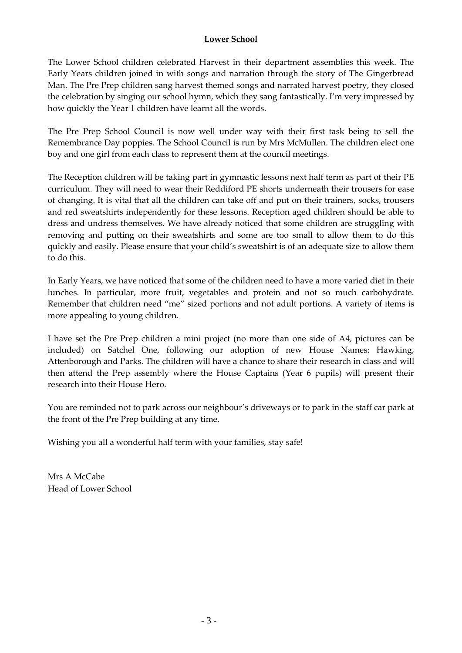#### **Lower School**

The Lower School children celebrated Harvest in their department assemblies this week. The Early Years children joined in with songs and narration through the story of The Gingerbread Man. The Pre Prep children sang harvest themed songs and narrated harvest poetry, they closed the celebration by singing our school hymn, which they sang fantastically. I'm very impressed by how quickly the Year 1 children have learnt all the words.

The Pre Prep School Council is now well under way with their first task being to sell the Remembrance Day poppies. The School Council is run by Mrs McMullen. The children elect one boy and one girl from each class to represent them at the council meetings.

The Reception children will be taking part in gymnastic lessons next half term as part of their PE curriculum. They will need to wear their Reddiford PE shorts underneath their trousers for ease of changing. It is vital that all the children can take off and put on their trainers, socks, trousers and red sweatshirts independently for these lessons. Reception aged children should be able to dress and undress themselves. We have already noticed that some children are struggling with removing and putting on their sweatshirts and some are too small to allow them to do this quickly and easily. Please ensure that your child's sweatshirt is of an adequate size to allow them to do this.

In Early Years, we have noticed that some of the children need to have a more varied diet in their lunches. In particular, more fruit, vegetables and protein and not so much carbohydrate. Remember that children need "me" sized portions and not adult portions. A variety of items is more appealing to young children.

I have set the Pre Prep children a mini project (no more than one side of A4, pictures can be included) on Satchel One, following our adoption of new House Names: Hawking, Attenborough and Parks. The children will have a chance to share their research in class and will then attend the Prep assembly where the House Captains (Year 6 pupils) will present their research into their House Hero.

You are reminded not to park across our neighbour's driveways or to park in the staff car park at the front of the Pre Prep building at any time.

Wishing you all a wonderful half term with your families, stay safe!

Mrs A McCabe Head of Lower School